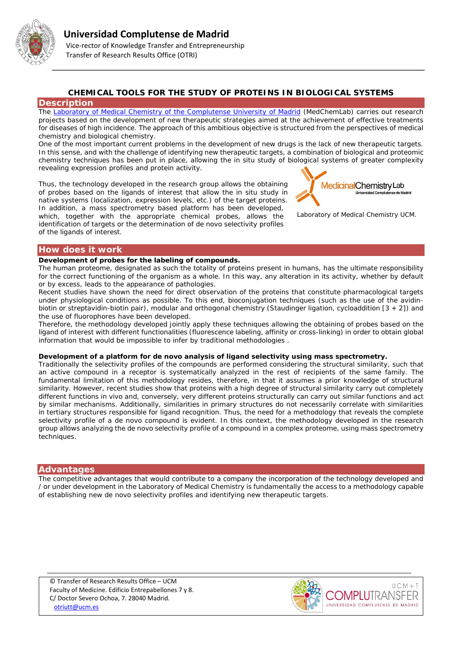

# **CHEMICAL TOOLS FOR THE STUDY OF PROTEINS IN BIOLOGICAL SYSTEMS**

## **Description**

The [Laboratory of Medical Chemistry of the Complutense University of Madrid](http://webs.ucm.es/info/quimicamedica/web/currentMembers) (MedChemLab) carries out research projects based on the development of new therapeutic strategies aimed at the achievement of effective treatments for diseases of high incidence. The approach of this ambitious objective is structured from the perspectives of medical chemistry and biological chemistry.

One of the most important current problems in the development of new drugs is the lack of new therapeutic targets. In this sense, and with the challenge of identifying new therapeutic targets, a combination of biological and proteomic chemistry techniques has been put in place, allowing the in situ study of biological systems of greater complexity revealing expression profiles and protein activity.

Thus, the technology developed in the research group allows the obtaining of probes based on the ligands of interest that allow the in situ study in native systems (localization, expression levels, etc.) of the target proteins. In addition, a mass spectrometry based platform has been developed, which, together with the appropriate chemical probes, allows the identification of targets or the determination of de novo selectivity profiles of the ligands of interest.



*Laboratory of Medical Chemistry UCM.*

## **How does it work**

### **Development of probes for the labeling of compounds.**

The human proteome, designated as such the totality of proteins present in humans, has the ultimate responsibility for the correct functioning of the organism as a whole. In this way, any alteration in its activity, whether by default or by excess, leads to the appearance of pathologies.

Recent studies have shown the need for direct observation of the proteins that constitute pharmacological targets under physiological conditions as possible. To this end, bioconjugation techniques (such as the use of the avidinbiotin or streptavidin-biotin pair), modular and orthogonal chemistry (Staudinger ligation, cycloaddition [3 + 2]) and the use of fluorophores have been developed.

Therefore, the methodology developed jointly apply these techniques allowing the obtaining of probes based on the ligand of interest with different functionalities (fluorescence labeling, affinity or cross-linking) in order to obtain global information that would be impossible to infer by traditional methodologies .

### **Development of a platform for** *de novo* **analysis of ligand selectivity using mass spectrometry.**

Traditionally the selectivity profiles of the compounds are performed considering the structural similarity, such that an active compound in a receptor is systematically analyzed in the rest of recipients of the same family. The fundamental limitation of this methodology resides, therefore, in that it assumes a prior knowledge of structural similarity. However, recent studies show that proteins with a high degree of structural similarity carry out completely different functions in vivo and, conversely, very different proteins structurally can carry out similar functions and act by similar mechanisms. Additionally, similarities in primary structures do not necessarily correlate with similarities in tertiary structures responsible for ligand recognition. Thus, the need for a methodology that reveals the complete selectivity profile of a de novo compound is evident. In this context, the methodology developed in the research group allows analyzing the de novo selectivity profile of a compound in a complex proteome, using mass spectrometry techniques.

## **Advantages**

The competitive advantages that would contribute to a company the incorporation of the technology developed and / or under development in the Laboratory of Medical Chemistry is fundamentally the access to a methodology capable of establishing new *de novo* selectivity profiles and identifying new therapeutic targets.

© Transfer of Research Results Office – UCM Faculty of Medicine. Edificio Entrepabellones 7 y 8. C/ Doctor Severo Ochoa, 7. 28040 Madrid. [otriutt@ucm.es](mailto:otriutt@ucm.es;mluzlr@quim.ucm.es;bellinda.benhamu@quim.ucm.es?subject=CHEMICAL%20TOOLS%20FOR%20THE%20STUDY%20OF%20PROTEINS%20IN%20BIOLOGICAL%20SYSTEMS)